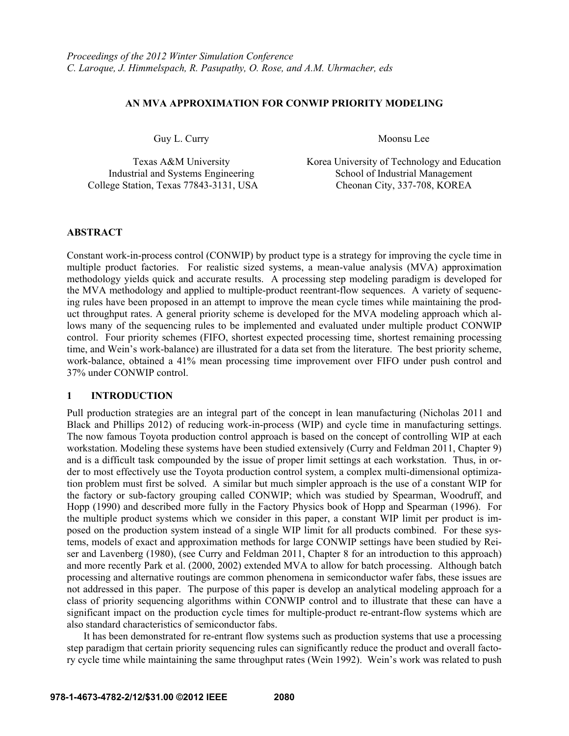# **AN MVA APPROXIMATION FOR CONWIP PRIORITY MODELING**

Guy L. Curry Moonsu Lee

Industrial and Systems Engineering College Station, Texas 77843-3131, USA Cheonan City, 337-708, KOREA

Texas A&M University<br>
Texas A&M University Korea University of Technology and Education<br>
School of Industrial Management

### **ABSTRACT**

Constant work-in-process control (CONWIP) by product type is a strategy for improving the cycle time in multiple product factories. For realistic sized systems, a mean-value analysis (MVA) approximation methodology yields quick and accurate results. A processing step modeling paradigm is developed for the MVA methodology and applied to multiple-product reentrant-flow sequences. A variety of sequencing rules have been proposed in an attempt to improve the mean cycle times while maintaining the product throughput rates. A general priority scheme is developed for the MVA modeling approach which allows many of the sequencing rules to be implemented and evaluated under multiple product CONWIP control. Four priority schemes (FIFO, shortest expected processing time, shortest remaining processing time, and Wein's work-balance) are illustrated for a data set from the literature. The best priority scheme, work-balance, obtained a 41% mean processing time improvement over FIFO under push control and 37% under CONWIP control.

### **1 INTRODUCTION**

Pull production strategies are an integral part of the concept in lean manufacturing (Nicholas 2011 and Black and Phillips 2012) of reducing work-in-process (WIP) and cycle time in manufacturing settings. The now famous Toyota production control approach is based on the concept of controlling WIP at each workstation. Modeling these systems have been studied extensively (Curry and Feldman 2011, Chapter 9) and is a difficult task compounded by the issue of proper limit settings at each workstation. Thus, in order to most effectively use the Toyota production control system, a complex multi-dimensional optimization problem must first be solved. A similar but much simpler approach is the use of a constant WIP for the factory or sub-factory grouping called CONWIP; which was studied by Spearman, Woodruff, and Hopp (1990) and described more fully in the Factory Physics book of Hopp and Spearman (1996). For the multiple product systems which we consider in this paper, a constant WIP limit per product is imposed on the production system instead of a single WIP limit for all products combined. For these systems, models of exact and approximation methods for large CONWIP settings have been studied by Reiser and Lavenberg (1980), (see Curry and Feldman 2011, Chapter 8 for an introduction to this approach) and more recently Park et al. (2000, 2002) extended MVA to allow for batch processing. Although batch processing and alternative routings are common phenomena in semiconductor wafer fabs, these issues are not addressed in this paper. The purpose of this paper is develop an analytical modeling approach for a class of priority sequencing algorithms within CONWIP control and to illustrate that these can have a significant impact on the production cycle times for multiple-product re-entrant-flow systems which are also standard characteristics of semiconductor fabs.

 It has been demonstrated for re-entrant flow systems such as production systems that use a processing step paradigm that certain priority sequencing rules can significantly reduce the product and overall factory cycle time while maintaining the same throughput rates (Wein 1992). Wein's work was related to push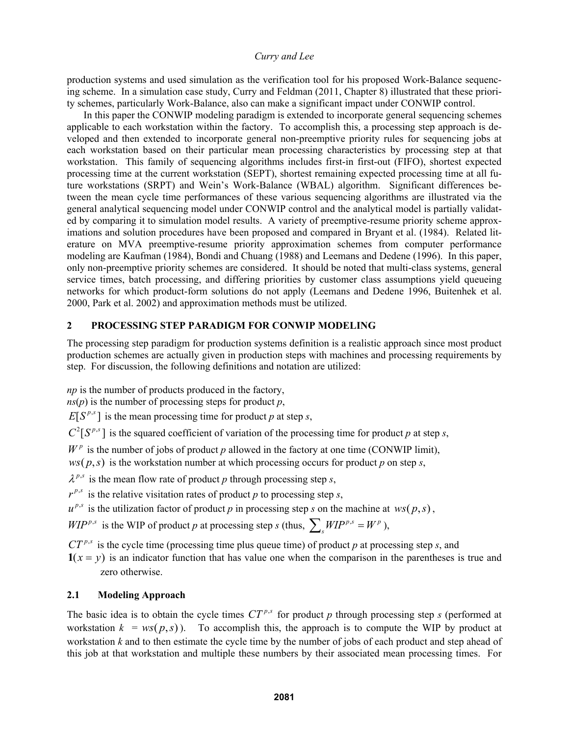production systems and used simulation as the verification tool for his proposed Work-Balance sequencing scheme. In a simulation case study, Curry and Feldman (2011, Chapter 8) illustrated that these priority schemes, particularly Work-Balance, also can make a significant impact under CONWIP control.

 In this paper the CONWIP modeling paradigm is extended to incorporate general sequencing schemes applicable to each workstation within the factory. To accomplish this, a processing step approach is developed and then extended to incorporate general non-preemptive priority rules for sequencing jobs at each workstation based on their particular mean processing characteristics by processing step at that workstation. This family of sequencing algorithms includes first-in first-out (FIFO), shortest expected processing time at the current workstation (SEPT), shortest remaining expected processing time at all future workstations (SRPT) and Wein's Work-Balance (WBAL) algorithm. Significant differences between the mean cycle time performances of these various sequencing algorithms are illustrated via the general analytical sequencing model under CONWIP control and the analytical model is partially validated by comparing it to simulation model results. A variety of preemptive-resume priority scheme approximations and solution procedures have been proposed and compared in Bryant et al. (1984). Related literature on MVA preemptive-resume priority approximation schemes from computer performance modeling are Kaufman (1984), Bondi and Chuang (1988) and Leemans and Dedene (1996). In this paper, only non-preemptive priority schemes are considered. It should be noted that multi-class systems, general service times, batch processing, and differing priorities by customer class assumptions yield queueing networks for which product-form solutions do not apply (Leemans and Dedene 1996, Buitenhek et al. 2000, Park et al. 2002) and approximation methods must be utilized.

# **2 PROCESSING STEP PARADIGM FOR CONWIP MODELING**

The processing step paradigm for production systems definition is a realistic approach since most product production schemes are actually given in production steps with machines and processing requirements by step. For discussion, the following definitions and notation are utilized:

*np* is the number of products produced in the factory,

*ns*(*p*) is the number of processing steps for product *p*,  $E[S^{p,s}]$  is the mean processing time for product *p* at step *s*,

 $C^2[S^{p,s}]$  is the squared coefficient of variation of the processing time for product *p* at step *s*,

 $W^p$  is the number of jobs of product *p* allowed in the factory at one time (CONWIP limit),

 $ws(p, s)$  is the workstation number at which processing occurs for product *p* on step *s*,

 $\lambda^{p,s}$  is the mean flow rate of product *p* through processing step *s*,

 $r^{p,s}$  is the relative visitation rates of product *p* to processing step *s*,

 $u^{p,s}$  is the utilization factor of product *p* in processing step *s* on the machine at *ws*( $p, s$ ),

 $WIP^{p,s}$  is the WIP of product *p* at processing step *s* (thus,  $\sum_{s} WIP^{p,s} = W^p$ ),

 $CT^{p,s}$  is the cycle time (processing time plus queue time) of product *p* at processing step *s*, and

 $\mathbf{1}(x = y)$  is an indicator function that has value one when the comparison in the parentheses is true and zero otherwise.

# **2.1 Modeling Approach**

The basic idea is to obtain the cycle times  $CT^{p,s}$  for product p through processing step *s* (performed at workstation  $k = ws(p, s)$ ). To accomplish this, the approach is to compute the WIP by product at workstation *k* and to then estimate the cycle time by the number of jobs of each product and step ahead of this job at that workstation and multiple these numbers by their associated mean processing times. For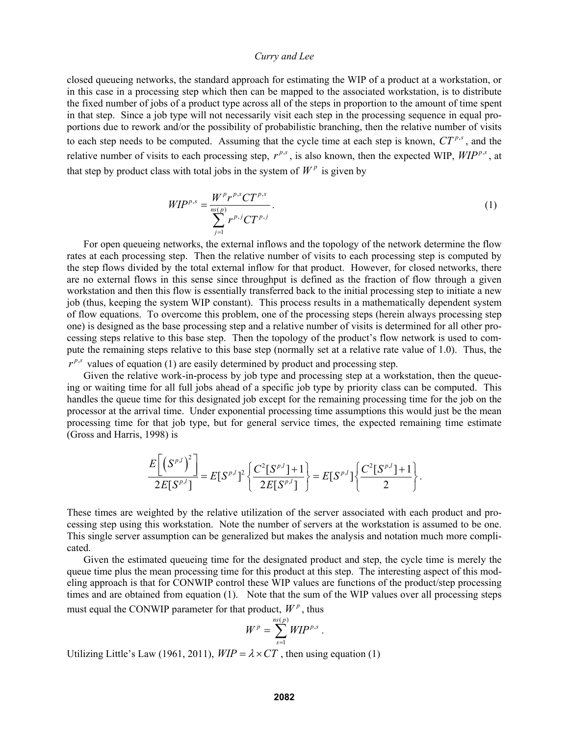closed queueing networks, the standard approach for estimating the WIP of a product at a workstation, or in this case in a processing step which then can be mapped to the associated workstation, is to distribute the fixed number of jobs of a product type across all of the steps in proportion to the amount of time spent in that step. Since a job type will not necessarily visit each step in the processing sequence in equal proportions due to rework and/or the possibility of probabilistic branching, then the relative number of visits to each step needs to be computed. Assuming that the cycle time at each step is known,  $CT^{p,s}$ , and the relative number of visits to each processing step,  $r^{p,s}$ , is also known, then the expected WIP,  $WIP^{p,s}$ , at that step by product class with total jobs in the system of  $W^p$  is given by

$$
WIP^{p,s} = \frac{W^p r^{p,s} C T^{p,s}}{\sum_{j=1}^{n(s)} r^{p,j} C T^{p,j}}.
$$
\n(1)

 For open queueing networks, the external inflows and the topology of the network determine the flow rates at each processing step. Then the relative number of visits to each processing step is computed by the step flows divided by the total external inflow for that product. However, for closed networks, there are no external flows in this sense since throughput is defined as the fraction of flow through a given workstation and then this flow is essentially transferred back to the initial processing step to initiate a new job (thus, keeping the system WIP constant). This process results in a mathematically dependent system of flow equations. To overcome this problem, one of the processing steps (herein always processing step one) is designed as the base processing step and a relative number of visits is determined for all other processing steps relative to this base step. Then the topology of the product's flow network is used to compute the remaining steps relative to this base step (normally set at a relative rate value of 1.0). Thus, the  $r^{p,s}$  values of equation (1) are easily determined by product and processing step.

 Given the relative work-in-process by job type and processing step at a workstation, then the queueing or waiting time for all full jobs ahead of a specific job type by priority class can be computed. This handles the queue time for this designated job except for the remaining processing time for the job on the processor at the arrival time. Under exponential processing time assumptions this would just be the mean processing time for that job type, but for general service times, the expected remaining time estimate (Gross and Harris, 1998) is

$$
\frac{E\left[\left(S^{p,l}\right)^2\right]}{2E[S^{p,l}]} = E[S^{p,l}]^2 \left\{\frac{C^2[S^{p,l}]+1}{2E[S^{p,l}]}\right\} = E[S^{p,l}]\left\{\frac{C^2[S^{p,l}]+1}{2}\right\}.
$$

These times are weighted by the relative utilization of the server associated with each product and processing step using this workstation. Note the number of servers at the workstation is assumed to be one. This single server assumption can be generalized but makes the analysis and notation much more complicated.

 Given the estimated queueing time for the designated product and step, the cycle time is merely the queue time plus the mean processing time for this product at this step. The interesting aspect of this modeling approach is that for CONWIP control these WIP values are functions of the product/step processing times and are obtained from equation (1). Note that the sum of the WIP values over all processing steps must equal the CONWIP parameter for that product,  $W^p$ , thus

$$
W^p = \sum_{s=1}^{ns(p)} WIP^{p,s}.
$$

Utilizing Little's Law (1961, 2011),  $WIP = \lambda \times CT$ , then using equation (1)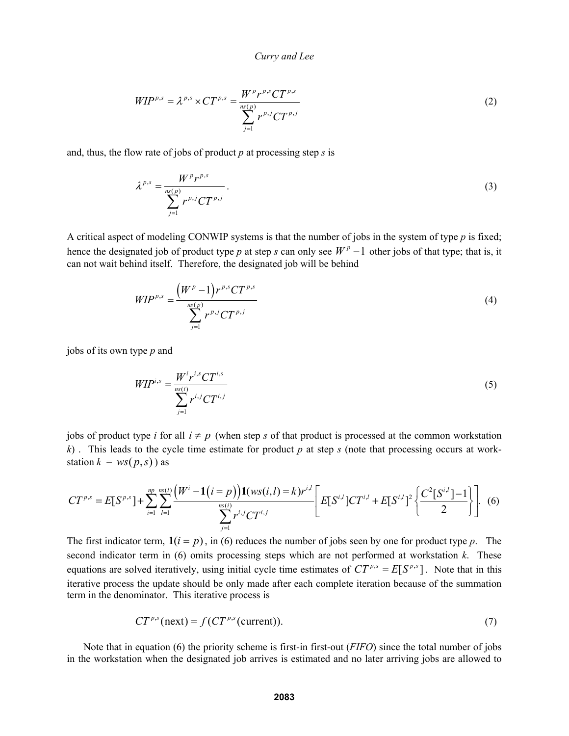$$
WIP^{p,s} = \lambda^{p,s} \times CT^{p,s} = \frac{W^p r^{p,s} C T^{p,s}}{\sum_{j=1}^{n(s)} r^{p,j} C T^{p,j}}
$$
(2)

and, thus, the flow rate of jobs of product *p* at processing step *s* is

$$
\lambda^{p,s} = \frac{W^p r^{p,s}}{\sum_{j=1}^{ns(p)} r^{p,j} C T^{p,j}}.
$$
\n(3)

A critical aspect of modeling CONWIP systems is that the number of jobs in the system of type *p* is fixed; hence the designated job of product type *p* at step *s* can only see  $W^p - 1$  other jobs of that type; that is, it can not wait behind itself. Therefore, the designated job will be behind

$$
WIP^{p,s} = \frac{\left(W^p - 1\right)r^{p,s}CT^{p,s}}{\sum_{j=1}^{n s(p)} r^{p,j}CT^{p,j}}
$$
\n(4)

jobs of its own type *p* and

$$
WIP^{i,s} = \frac{W^i r^{i,s} C T^{i,s}}{\sum_{j=1}^{ns(i)} r^{i,j} C T^{i,j}}
$$
\n(5)

jobs of product type *i* for all  $i \neq p$  (when step *s* of that product is processed at the common workstation *k*) . This leads to the cycle time estimate for product *p* at step *s* (note that processing occurs at workstation  $k = ws(p, s)$  ) as

$$
CT^{p,s} = E[S^{p,s}] + \sum_{i=1}^{np} \sum_{l=1}^{ns(l)} \frac{(W^i - 1(i=p))1(ws(i,l) = k)r^{i,l}}{\sum_{j=1}^{ns(l)} r^{i,j}CT^{i,j}} \left[E[S^{i,l}]CT^{i,l} + E[S^{i,l}]^2 \left\{\frac{C^2[S^{i,l}] - 1}{2}\right\}\right].
$$
 (6)

The first indicator term,  $\mathbf{1}(i = p)$ , in (6) reduces the number of jobs seen by one for product type p. The second indicator term in (6) omits processing steps which are not performed at workstation *k*. These equations are solved iteratively, using initial cycle time estimates of  $CT^{p,s} = E[S^{p,s}]$ . Note that in this iterative process the update should be only made after each complete iteration because of the summation term in the denominator. This iterative process is

$$
CT^{p,s}(\text{next}) = f(CT^{p,s}(\text{current})).\tag{7}
$$

 Note that in equation (6) the priority scheme is first-in first-out (*FIFO*) since the total number of jobs in the workstation when the designated job arrives is estimated and no later arriving jobs are allowed to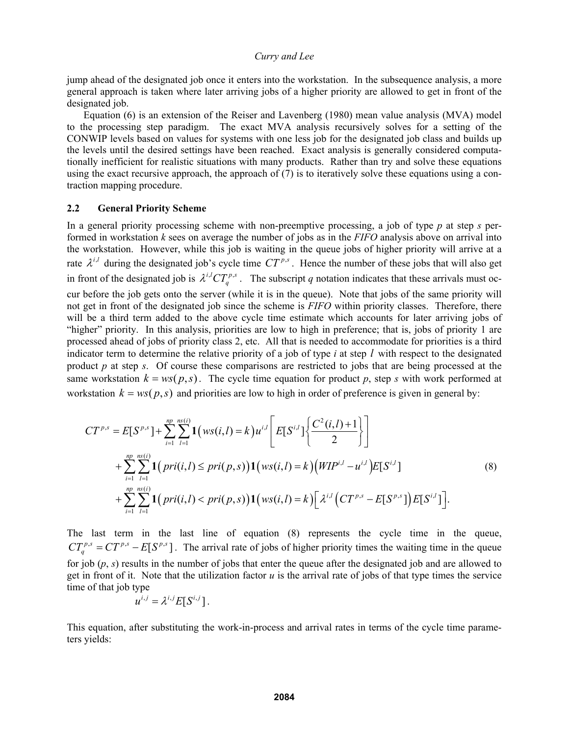jump ahead of the designated job once it enters into the workstation. In the subsequence analysis, a more general approach is taken where later arriving jobs of a higher priority are allowed to get in front of the designated job.

 Equation (6) is an extension of the Reiser and Lavenberg (1980) mean value analysis (MVA) model to the processing step paradigm. The exact MVA analysis recursively solves for a setting of the CONWIP levels based on values for systems with one less job for the designated job class and builds up the levels until the desired settings have been reached. Exact analysis is generally considered computationally inefficient for realistic situations with many products. Rather than try and solve these equations using the exact recursive approach, the approach of (7) is to iteratively solve these equations using a contraction mapping procedure.

#### **2.2 General Priority Scheme**

In a general priority processing scheme with non-preemptive processing, a job of type *p* at step *s* performed in workstation *k* sees on average the number of jobs as in the *FIFO* analysis above on arrival into the workstation. However, while this job is waiting in the queue jobs of higher priority will arrive at a rate  $\lambda^{i,l}$  during the designated job's cycle time  $CT^{p,s}$ . Hence the number of these jobs that will also get in front of the designated job is  $\lambda^{i,l}CT_q^{p,s}$ . The subscript *q* notation indicates that these arrivals must occur before the job gets onto the server (while it is in the queue). Note that jobs of the same priority will not get in front of the designated job since the scheme is *FIFO* within priority classes. Therefore, there will be a third term added to the above cycle time estimate which accounts for later arriving jobs of "higher" priority. In this analysis, priorities are low to high in preference; that is, jobs of priority 1 are processed ahead of jobs of priority class 2, etc. All that is needed to accommodate for priorities is a third indicator term to determine the relative priority of a job of type *i* at step *l* with respect to the designated product *p* at step *s*. Of course these comparisons are restricted to jobs that are being processed at the same workstation  $k = ws(p, s)$ . The cycle time equation for product p, step *s* with work performed at workstation  $k = ws(p, s)$  and priorities are low to high in order of preference is given in general by:

$$
CT^{p,s} = E[S^{p,s}] + \sum_{i=1}^{np} \sum_{l=1}^{ns(i)} \mathbf{1}(ws(i,l) = k)u^{i,l} \left[E[S^{i,l}]\left\{\frac{C^2(i,l)+1}{2}\right\}\right] + \sum_{i=1}^{np} \sum_{l=1}^{ns(i)} \mathbf{1}(pri(i,l) \le pri(p,s))\mathbf{1}(ws(i,l) = k)\left(WIP^{i,l} - u^{i,l}\right)E[S^{i,l}] + \sum_{i=1}^{np} \sum_{l=1}^{ns(i)} \mathbf{1}(pri(i,l) < pri(p,s))\mathbf{1}(ws(i,l) = k)\left[\lambda^{i,l}\left(CT^{p,s} - E[S^{p,s}]\right)E[S^{i,l}]\right].
$$
\n
$$
(8)
$$

The last term in the last line of equation (8) represents the cycle time in the queue,  $CT_q^{p,s} = CT^{p,s} - E[S^{p,s}]$ . The arrival rate of jobs of higher priority times the waiting time in the queue for job (*p*, *s*) results in the number of jobs that enter the queue after the designated job and are allowed to get in front of it. Note that the utilization factor *u* is the arrival rate of jobs of that type times the service time of that job type

$$
u^{i,j} = \lambda^{i,j} E[S^{i,j}].
$$

This equation, after substituting the work-in-process and arrival rates in terms of the cycle time parameters yields: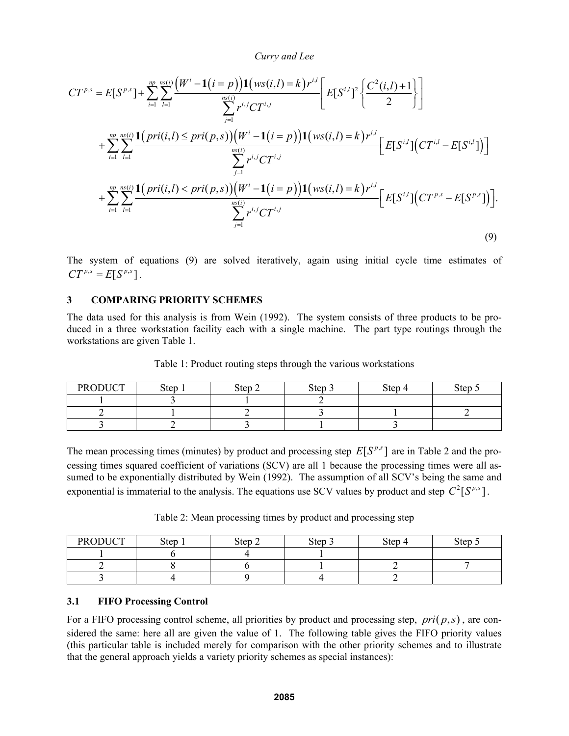$$
CT^{p,s} = E[S^{p,s}] + \sum_{i=1}^{np} \sum_{l=1}^{ns(i)} \frac{(W^i - 1(i=p))1(ws(i,l) = k)r^{i,l}}{\sum_{j=1}^{ns(i)} r^{i,j}CT^{i,j}} \left[E[S^{i,l}]^2 \left\{\frac{C^2(i,l)+1}{2}\right\}\right]
$$
  
+ 
$$
\sum_{i=1}^{np} \sum_{l=1}^{ns(i)} \frac{1(pri(i,l) \le pri(p,s)) (W^i - 1(i=p))1(ws(i,l) = k)r^{i,l}}{\sum_{j=1}^{ns(i)} r^{i,j}CT^{i,j}} \left[E[S^{i,l}] (CT^{i,l} - E[S^{i,l}])\right]
$$
  
+ 
$$
\sum_{i=1}^{np} \sum_{l=1}^{ns(i)} \frac{1(pri(i,l) < pri(p,s)) (W^i - 1(i=p))1(ws(i,l) = k)r^{i,l}}{\sum_{j=1}^{ns(i)} r^{i,j}CT^{i,j}} \left[E[S^{i,l}] (CT^{p,s} - E[S^{p,s}])\right].
$$
  
(9)

The system of equations (9) are solved iteratively, again using initial cycle time estimates of  $CT^{p,s} = E[S^{p,s}]$ .

# **3 COMPARING PRIORITY SCHEMES**

The data used for this analysis is from Wein (1992). The system consists of three products to be produced in a three workstation facility each with a single machine. The part type routings through the workstations are given Table 1.

| <b>PRODUCT</b> | Step | Step 2 | Step 3 | Step 4 | Step |
|----------------|------|--------|--------|--------|------|
|                |      |        |        |        |      |
|                |      |        |        |        |      |
|                |      |        |        |        |      |

Table 1: Product routing steps through the various workstations

The mean processing times (minutes) by product and processing step  $E[S^{p,s}]$  are in Table 2 and the processing times squared coefficient of variations (SCV) are all 1 because the processing times were all assumed to be exponentially distributed by Wein (1992). The assumption of all SCV's being the same and exponential is immaterial to the analysis. The equations use SCV values by product and step  $C^2[S^{p,s}]$ .

Table 2: Mean processing times by product and processing step

| <b>PRODUCT</b> | Step | Step 2 | Step 3 | Step 4 | Step |
|----------------|------|--------|--------|--------|------|
|                |      |        |        |        |      |
|                |      |        |        |        |      |
|                |      |        |        |        |      |

# **3.1 FIFO Processing Control**

For a FIFO processing control scheme, all priorities by product and processing step,  $pri(p, s)$ , are considered the same: here all are given the value of 1. The following table gives the FIFO priority values (this particular table is included merely for comparison with the other priority schemes and to illustrate that the general approach yields a variety priority schemes as special instances):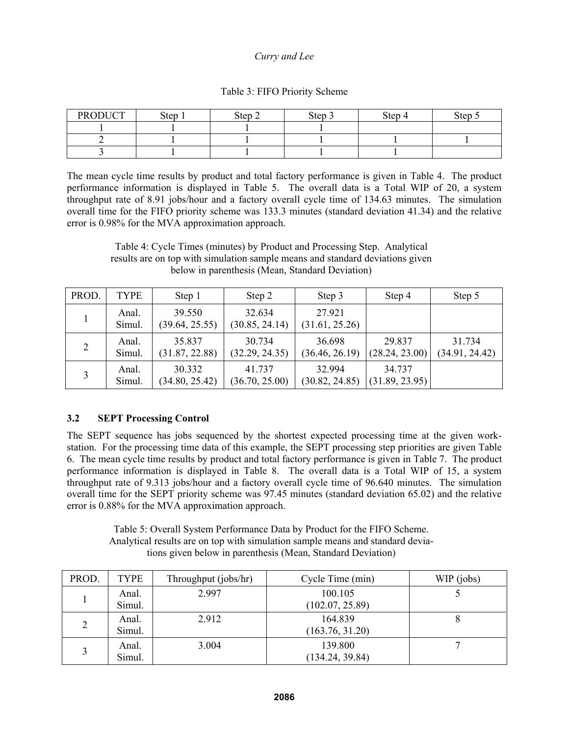|  |  |  | Table 3: FIFO Priority Scheme |
|--|--|--|-------------------------------|
|--|--|--|-------------------------------|

| <b>PRODUCT</b> | Step | Step 2 | Step | Step 4 | Step |
|----------------|------|--------|------|--------|------|
|                |      |        |      |        |      |
|                |      |        |      |        |      |
|                |      |        |      |        |      |

The mean cycle time results by product and total factory performance is given in Table 4. The product performance information is displayed in Table 5. The overall data is a Total WIP of 20, a system throughput rate of 8.91 jobs/hour and a factory overall cycle time of 134.63 minutes. The simulation overall time for the FIFO priority scheme was 133.3 minutes (standard deviation 41.34) and the relative error is 0.98% for the MVA approximation approach.

Table 4: Cycle Times (minutes) by Product and Processing Step. Analytical results are on top with simulation sample means and standard deviations given below in parenthesis (Mean, Standard Deviation)

| PROD. | TYPE            | Step 1                   | Step 2                   | Step 3                   | Step 4                   | Step 5                   |
|-------|-----------------|--------------------------|--------------------------|--------------------------|--------------------------|--------------------------|
|       | Anal.<br>Simul. | 39.550<br>(39.64, 25.55) | 32.634<br>(30.85, 24.14) | 27.921<br>(31.61, 25.26) |                          |                          |
| 2     | Anal.<br>Simul. | 35.837<br>(31.87, 22.88) | 30.734<br>(32.29, 24.35) | 36.698<br>(36.46, 26.19) | 29.837<br>(28.24, 23.00) | 31.734<br>(34.91, 24.42) |
|       | Anal.<br>Simul. | 30.332<br>(34.80, 25.42) | 41.737<br>(36.70, 25.00) | 32 994<br>(30.82, 24.85) | 34.737<br>(31.89, 23.95) |                          |

# **3.2 SEPT Processing Control**

The SEPT sequence has jobs sequenced by the shortest expected processing time at the given workstation. For the processing time data of this example, the SEPT processing step priorities are given Table 6. The mean cycle time results by product and total factory performance is given in Table 7. The product performance information is displayed in Table 8. The overall data is a Total WIP of 15, a system throughput rate of 9.313 jobs/hour and a factory overall cycle time of 96.640 minutes. The simulation overall time for the SEPT priority scheme was 97.45 minutes (standard deviation 65.02) and the relative error is 0.88% for the MVA approximation approach.

Table 5: Overall System Performance Data by Product for the FIFO Scheme. Analytical results are on top with simulation sample means and standard deviations given below in parenthesis (Mean, Standard Deviation)

| PROD. | <b>TYPE</b>     | Throughput (jobs/hr) | Cycle Time (min)           | WIP (jobs) |
|-------|-----------------|----------------------|----------------------------|------------|
|       | Anal.<br>Simul. | 2.997                | 100.105<br>(102.07, 25.89) |            |
| 2     | Anal.<br>Simul. | 2.912                | 164.839<br>(163.76, 31.20) |            |
|       | Anal.<br>Simul. | 3.004                | 139.800<br>(134.24, 39.84) |            |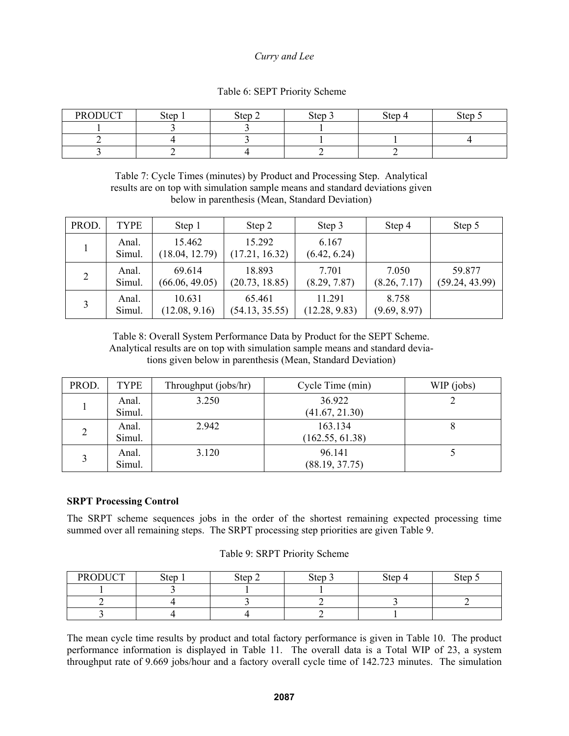| <b>PRODUCT</b> | <b>Step</b> | Step<br>∼ | Step 3 | Step 4 | $\sim$<br>ster |
|----------------|-------------|-----------|--------|--------|----------------|
|                |             |           |        |        |                |

# Table 6: SEPT Priority Scheme

2 | 4 | 3 | 1 | 1 | 4

Table 7: Cycle Times (minutes) by Product and Processing Step. Analytical results are on top with simulation sample means and standard deviations given below in parenthesis (Mean, Standard Deviation)

3 2 4 2 2

| PROD.        | <b>TYPE</b>     | Step 1                   | Step 2                   | Step 3                  | Step 4                | Step 5                   |
|--------------|-----------------|--------------------------|--------------------------|-------------------------|-----------------------|--------------------------|
|              | Anal.<br>Simul. | 15.462<br>(18.04, 12.79) | 15.292<br>(17.21, 16.32) | 6.167<br>(6.42, 6.24)   |                       |                          |
| 2            | Anal.<br>Simul. | 69.614<br>(66.06, 49.05) | 18.893<br>(20.73, 18.85) | 7.701<br>(8.29, 7.87)   | 7.050<br>(8.26, 7.17) | 59.877<br>(59.24, 43.99) |
| $\mathbf{c}$ | Anal.<br>Simul. | 10.631<br>(12.08, 9.16)  | 65.461<br>(54.13, 35.55) | 11.291<br>(12.28, 9.83) | 8.758<br>(9.69, 8.97) |                          |

Table 8: Overall System Performance Data by Product for the SEPT Scheme. Analytical results are on top with simulation sample means and standard deviations given below in parenthesis (Mean, Standard Deviation)

| PROD.          | <b>TYPE</b>     | Throughput (jobs/hr) | Cycle Time (min)           | WIP (jobs) |
|----------------|-----------------|----------------------|----------------------------|------------|
|                | Anal.<br>Simul. | 3.250                | 36.922<br>(41.67, 21.30)   |            |
| $\overline{2}$ | Anal.<br>Simul. | 2.942                | 163.134<br>(162.55, 61.38) |            |
| 3              | Anal.<br>Simul. | 3.120                | 96.141<br>(88.19, 37.75)   |            |

# **SRPT Processing Control**

The SRPT scheme sequences jobs in the order of the shortest remaining expected processing time summed over all remaining steps. The SRPT processing step priorities are given Table 9.

| <b>PRODUCT</b> | <b>Step</b> | Step 2 | Step 3 | Step 4 | Step |
|----------------|-------------|--------|--------|--------|------|
|                |             |        |        |        |      |
|                |             |        |        |        |      |
|                |             |        |        |        |      |

### Table 9: SRPT Priority Scheme

The mean cycle time results by product and total factory performance is given in Table 10. The product performance information is displayed in Table 11. The overall data is a Total WIP of 23, a system throughput rate of 9.669 jobs/hour and a factory overall cycle time of 142.723 minutes. The simulation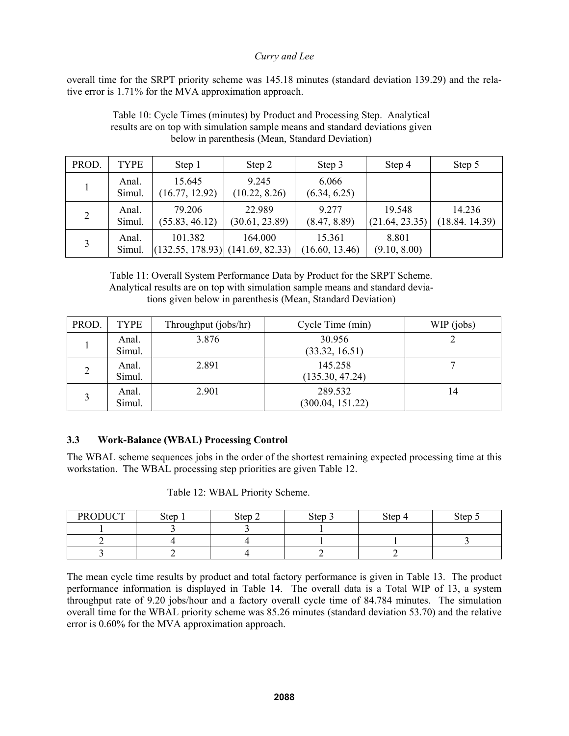overall time for the SRPT priority scheme was 145.18 minutes (standard deviation 139.29) and the relative error is 1.71% for the MVA approximation approach.

|       |                 |                                                 | ociów in parenthesis (ivican, standard Deviation) |                          |                          |                         |
|-------|-----------------|-------------------------------------------------|---------------------------------------------------|--------------------------|--------------------------|-------------------------|
| PROD. | TYPE            | Step 1                                          | Step 2                                            | Step 3                   | Step 4                   | Step 5                  |
|       | Anal.<br>Simul. | 15.645<br>(16.77, 12.92)                        | 9.245<br>(10.22, 8.26)                            | 6.066<br>(6.34, 6.25)    |                          |                         |
| 2     | Anal.<br>Simul. | 79.206<br>(55.83, 46.12)                        | 22.989<br>(30.61, 23.89)                          | 9.277<br>(8.47, 8.89)    | 19.548<br>(21.64, 23.35) | 14.236<br>(18.84.14.39) |
| 3     | Anal.<br>Simul. | 101.382<br>$(132.55, 178.93)$ $(141.69, 82.33)$ | 164.000                                           | 15.361<br>(16.60, 13.46) | 8.801<br>(9.10, 8.00)    |                         |

Table 10: Cycle Times (minutes) by Product and Processing Step. Analytical results are on top with simulation sample means and standard deviations given below in parenthesis (Mean, Standard Deviation)

Table 11: Overall System Performance Data by Product for the SRPT Scheme. Analytical results are on top with simulation sample means and standard deviations given below in parenthesis (Mean, Standard Deviation)

| PROD.          | <b>TYPE</b> | Throughput (jobs/hr) | Cycle Time (min) | WIP (jobs) |
|----------------|-------------|----------------------|------------------|------------|
|                | Anal.       | 3.876                | 30.956           |            |
|                | Simul.      |                      | (33.32, 16.51)   |            |
| $\overline{2}$ | Anal.       | 2.891                | 145.258          |            |
|                | Simul.      |                      | (135.30, 47.24)  |            |
|                | Anal.       | 2.901                | 289.532          | 14         |
|                | Simul.      |                      | (300.04, 151.22) |            |

# **3.3 Work-Balance (WBAL) Processing Control**

The WBAL scheme sequences jobs in the order of the shortest remaining expected processing time at this workstation. The WBAL processing step priorities are given Table 12.

| Table 12: WBAL Priority Scheme. |
|---------------------------------|
|---------------------------------|

| <b>PRODUCT</b> | Step | Step 2 | <b>Step</b> | Step 4 | Step 5 |
|----------------|------|--------|-------------|--------|--------|
|                |      |        |             |        |        |
|                |      |        |             |        |        |
|                |      |        |             |        |        |

The mean cycle time results by product and total factory performance is given in Table 13. The product performance information is displayed in Table 14. The overall data is a Total WIP of 13, a system throughput rate of 9.20 jobs/hour and a factory overall cycle time of 84.784 minutes. The simulation overall time for the WBAL priority scheme was 85.26 minutes (standard deviation 53.70) and the relative error is 0.60% for the MVA approximation approach.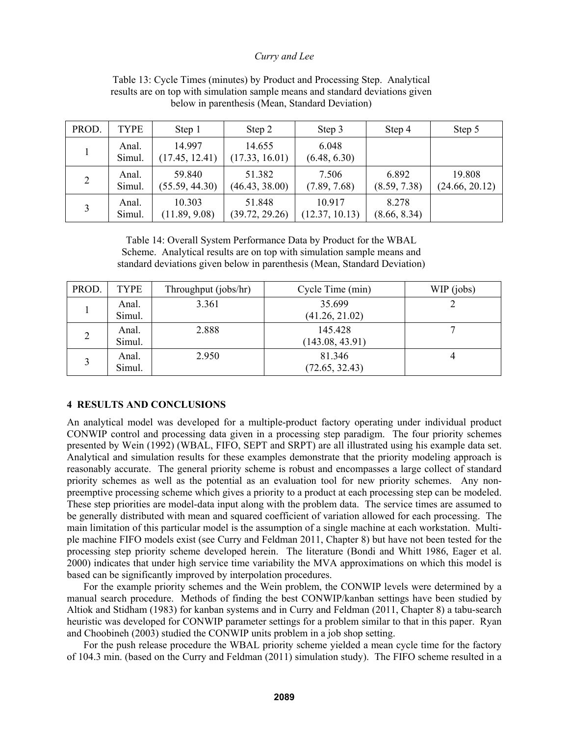| PROD.          | <b>TYPE</b>     | Step 1                   | Step 2                   | Step 3                   | Step 4                | Step 5                   |
|----------------|-----------------|--------------------------|--------------------------|--------------------------|-----------------------|--------------------------|
|                | Anal.<br>Simul. | 14 997<br>(17.45, 12.41) | 14.655<br>(17.33, 16.01) | 6.048<br>(6.48, 6.30)    |                       |                          |
| $\overline{2}$ | Anal.<br>Simul. | 59.840<br>(55.59, 44.30) | 51.382<br>(46.43, 38.00) | 7.506<br>(7.89, 7.68)    | 6.892<br>(8.59, 7.38) | 19.808<br>(24.66, 20.12) |
| 3              | Anal.<br>Simul. | 10.303<br>(11.89, 9.08)  | 51.848<br>(39.72, 29.26) | 10.917<br>(12.37, 10.13) | 8.278<br>(8.66, 8.34) |                          |

Table 13: Cycle Times (minutes) by Product and Processing Step. Analytical results are on top with simulation sample means and standard deviations given below in parenthesis (Mean, Standard Deviation)

Table 14: Overall System Performance Data by Product for the WBAL Scheme. Analytical results are on top with simulation sample means and standard deviations given below in parenthesis (Mean, Standard Deviation)

| PROD.          | <b>TYPE</b>     | Throughput (jobs/hr) | Cycle Time (min)           | WIP (jobs) |
|----------------|-----------------|----------------------|----------------------------|------------|
|                | Anal.<br>Simul. | 3.361                | 35.699<br>(41.26, 21.02)   |            |
| $\overline{2}$ | Anal.<br>Simul. | 2.888                | 145.428<br>(143.08, 43.91) |            |
| $\mathbf{c}$   | Anal.<br>Simul. | 2.950                | 81.346<br>(72.65, 32.43)   |            |

# **4 RESULTS AND CONCLUSIONS**

An analytical model was developed for a multiple-product factory operating under individual product CONWIP control and processing data given in a processing step paradigm. The four priority schemes presented by Wein (1992) (WBAL, FIFO, SEPT and SRPT) are all illustrated using his example data set. Analytical and simulation results for these examples demonstrate that the priority modeling approach is reasonably accurate. The general priority scheme is robust and encompasses a large collect of standard priority schemes as well as the potential as an evaluation tool for new priority schemes. Any nonpreemptive processing scheme which gives a priority to a product at each processing step can be modeled. These step priorities are model-data input along with the problem data. The service times are assumed to be generally distributed with mean and squared coefficient of variation allowed for each processing. The main limitation of this particular model is the assumption of a single machine at each workstation. Multiple machine FIFO models exist (see Curry and Feldman 2011, Chapter 8) but have not been tested for the processing step priority scheme developed herein. The literature (Bondi and Whitt 1986, Eager et al. 2000) indicates that under high service time variability the MVA approximations on which this model is based can be significantly improved by interpolation procedures.

 For the example priority schemes and the Wein problem, the CONWIP levels were determined by a manual search procedure. Methods of finding the best CONWIP/kanban settings have been studied by Altiok and Stidham (1983) for kanban systems and in Curry and Feldman (2011, Chapter 8) a tabu-search heuristic was developed for CONWIP parameter settings for a problem similar to that in this paper. Ryan and Choobineh (2003) studied the CONWIP units problem in a job shop setting.

 For the push release procedure the WBAL priority scheme yielded a mean cycle time for the factory of 104.3 min. (based on the Curry and Feldman (2011) simulation study). The FIFO scheme resulted in a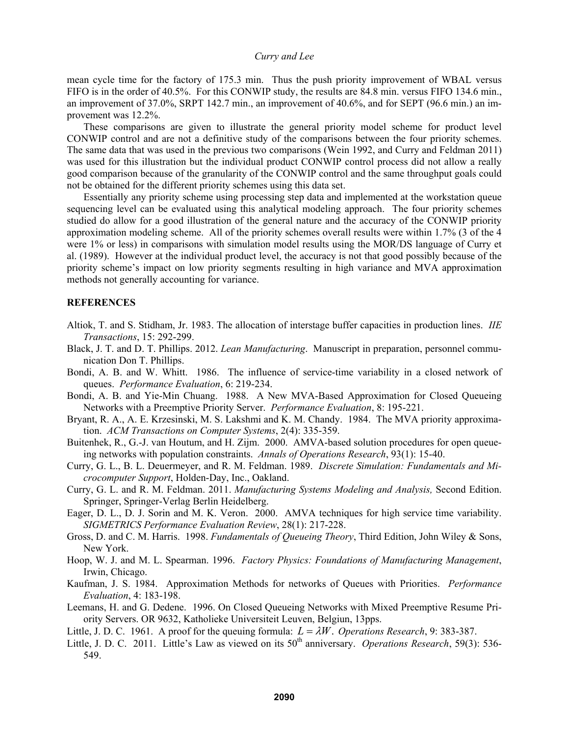mean cycle time for the factory of 175.3 min. Thus the push priority improvement of WBAL versus FIFO is in the order of 40.5%. For this CONWIP study, the results are 84.8 min. versus FIFO 134.6 min., an improvement of 37.0%, SRPT 142.7 min., an improvement of 40.6%, and for SEPT (96.6 min.) an improvement was 12.2%.

 These comparisons are given to illustrate the general priority model scheme for product level CONWIP control and are not a definitive study of the comparisons between the four priority schemes. The same data that was used in the previous two comparisons (Wein 1992, and Curry and Feldman 2011) was used for this illustration but the individual product CONWIP control process did not allow a really good comparison because of the granularity of the CONWIP control and the same throughput goals could not be obtained for the different priority schemes using this data set.

 Essentially any priority scheme using processing step data and implemented at the workstation queue sequencing level can be evaluated using this analytical modeling approach. The four priority schemes studied do allow for a good illustration of the general nature and the accuracy of the CONWIP priority approximation modeling scheme. All of the priority schemes overall results were within 1.7% (3 of the 4 were 1% or less) in comparisons with simulation model results using the MOR/DS language of Curry et al. (1989). However at the individual product level, the accuracy is not that good possibly because of the priority scheme's impact on low priority segments resulting in high variance and MVA approximation methods not generally accounting for variance.

## **REFERENCES**

- Altiok, T. and S. Stidham, Jr. 1983. The allocation of interstage buffer capacities in production lines. *IIE Transactions*, 15: 292-299.
- Black, J. T. and D. T. Phillips. 2012. *Lean Manufacturing*. Manuscript in preparation, personnel communication Don T. Phillips.
- Bondi, A. B. and W. Whitt. 1986. The influence of service-time variability in a closed network of queues. *Performance Evaluation*, 6: 219-234.
- Bondi, A. B. and Yie-Min Chuang. 1988. A New MVA-Based Approximation for Closed Queueing Networks with a Preemptive Priority Server. *Performance Evaluation*, 8: 195-221.
- Bryant, R. A., A. E. Krzesinski, M. S. Lakshmi and K. M. Chandy. 1984. The MVA priority approximation. *ACM Transactions on Computer Systems*, 2(4): 335-359.
- Buitenhek, R., G.-J. van Houtum, and H. Zijm. 2000. AMVA-based solution procedures for open queueing networks with population constraints. *Annals of Operations Research*, 93(1): 15-40.
- Curry, G. L., B. L. Deuermeyer, and R. M. Feldman. 1989. *Discrete Simulation: Fundamentals and Microcomputer Support*, Holden-Day, Inc., Oakland.
- Curry, G. L. and R. M. Feldman. 2011. *Manufacturing Systems Modeling and Analysis,* Second Edition. Springer, Springer-Verlag Berlin Heidelberg.
- Eager, D. L., D. J. Sorin and M. K. Veron. 2000. AMVA techniques for high service time variability. *SIGMETRICS Performance Evaluation Review*, 28(1): 217-228.
- Gross, D. and C. M. Harris. 1998. *Fundamentals of Queueing Theory*, Third Edition, John Wiley & Sons, New York.
- Hoop, W. J. and M. L. Spearman. 1996. *Factory Physics: Foundations of Manufacturing Management*, Irwin, Chicago.
- Kaufman, J. S. 1984. Approximation Methods for networks of Queues with Priorities. *Performance Evaluation*, 4: 183-198.
- Leemans, H. and G. Dedene. 1996. On Closed Queueing Networks with Mixed Preemptive Resume Priority Servers. OR 9632, Katholieke Universiteit Leuven, Belgiun, 13pps.
- Little, J. D. C. 1961. A proof for the queuing formula:  $L = \lambda W$ . *Operations Research*, 9: 383-387.
- Little, J. D. C. 2011. Little's Law as viewed on its 50<sup>th</sup> anniversary. *Operations Research*, 59(3): 536-549.